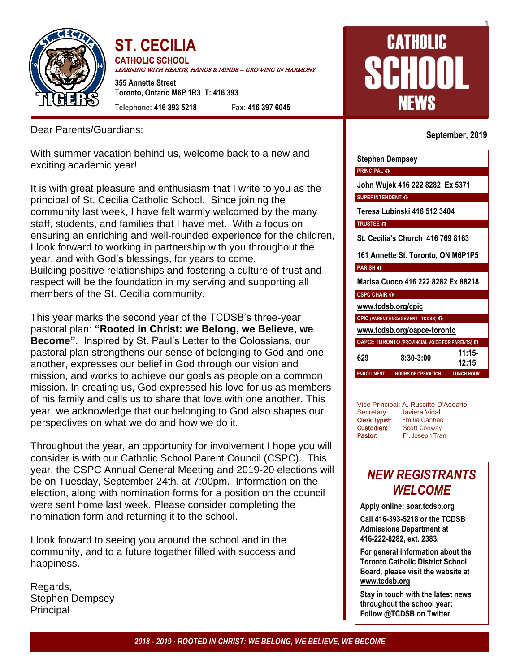

**ST. CECILIA CATHOLIC SCHOOL** LEARNING WITH HEARTS, HANDS & MINDS – GROWING IN HARMONY **355 Annette Street**

**Toronto, Ontario M6P 1R3 T: 416 393 Telephone: 416 393 5218 Fax: 416 397 6045**

Dear Parents/Guardians:

With summer vacation behind us, welcome back to a new and exciting academic year!

It is with great pleasure and enthusiasm that I write to you as the principal of St. Cecilia Catholic School. Since joining the community last week, I have felt warmly welcomed by the many staff, students, and families that I have met. With a focus on ensuring an enriching and well-rounded experience for the children, I look forward to working in partnership with you throughout the year, and with God's blessings, for years to come. Building positive relationships and fostering a culture of trust and respect will be the foundation in my serving and supporting all members of the St. Cecilia community.

This year marks the second year of the TCDSB's three-year pastoral plan: **"Rooted in Christ: we Belong, we Believe, we Become"**. Inspired by St. Paul's Letter to the Colossians, our pastoral plan strengthens our sense of belonging to God and one another, expresses our belief in God through our vision and mission, and works to achieve our goals as people on a common mission. In creating us, God expressed his love for us as members of his family and calls us to share that love with one another. This year, we acknowledge that our belonging to God also shapes our perspectives on what we do and how we do it.

Throughout the year, an opportunity for involvement I hope you will consider is with our Catholic School Parent Council (CSPC). This year, the CSPC Annual General Meeting and 2019-20 elections will be on Tuesday, September 24th, at 7:00pm. Information on the election, along with nomination forms for a position on the council were sent home last week. Please consider completing the nomination form and returning it to the school.

I look forward to seeing you around the school and in the community, and to a future together filled with success and happiness.

Regards, Stephen Dempsey Principal

# **CATHOLIC** HHIII NEWS

#### **September, 2019**

1

| Stephen Dempsey                                                     |
|---------------------------------------------------------------------|
| <b>PRINCIPAL O</b>                                                  |
| John Wujek 416 222 8282 Ex 5371                                     |
| SUPERINTENDENT O                                                    |
| Teresa Lubinski 416 512 3404                                        |
| <b>TRUSTEE O</b>                                                    |
| St. Cecilia's Church 416 769 8163                                   |
| 161 Annette St. Toronto, ON M6P1P5                                  |
| <b>PARISH O</b>                                                     |
| Marisa Cuoco 416 222 8282 Ex 88218                                  |
| <b>CSPC CHAIR O</b>                                                 |
| www.tcdsb.org/cpic                                                  |
| <b>CPIC (PARENT ENGAGEMENT - TCDSB) O</b>                           |
| www.tcdsb.org/oapce-toronto                                         |
| <b>OAPCE TORONTO (PROVINCIAL VOICE FOR PARENTS) O</b>               |
| $11:15-$<br>629<br>$8:30-3:00$<br>12:15                             |
| <b>LUNCH HOUR</b><br><b>ENROLLMENT</b><br><b>HOURS OF OPERATION</b> |

Vice Principal: A. Ruscitto-D'Addario Secretary: Javiera Vidal Clerk Typist: Emilia Ganhao Custodian: Scott Conway Pastor: Fr. Joseph Tran

## *NEW REGISTRANTS WELCOME*

**Apply online: soar.tcdsb.org**

**Call 416-393-5218 or the TCDSB Admissions Department at 416-222-8282, ext. 2383.**

**For general information about the Toronto Catholic District School Board, please visit the website at [www.tcdsb.org](http://www.tcdsb.org/)**

**Stay in touch with the latest news throughout the school year: Follow @TCDSB on Twitter**.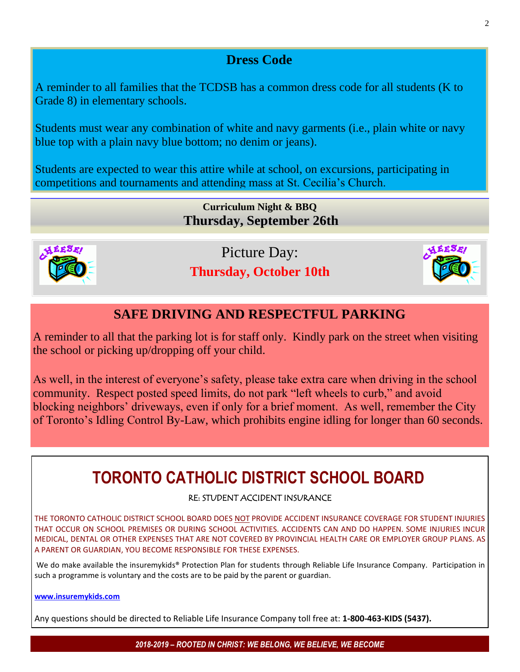## **Dress Code**

A reminder to all families that the TCDSB has a common dress code for all students (K to Grade 8) in elementary schools.

Students must wear any combination of white and navy garments (i.e., plain white or navy blue top with a plain navy blue bottom; no denim or jeans).

Students are expected to wear this attire while at school, on excursions, participating in competitions and tournaments and attending mass at St. Cecilia's Church.

> **Curriculum Night & BBQ Thursday, September 26th**



Picture Day: **Thursday, October 10th**



### **SAFE DRIVING AND RESPECTFUL PARKING**

A reminder to all that the parking lot is for staff only. Kindly park on the street when visiting the school or picking up/dropping off your child.

As well, in the interest of everyone's safety, please take extra care when driving in the school community. Respect posted speed limits, do not park "left wheels to curb," and avoid blocking neighbors' driveways, even if only for a brief moment. As well, remember the City of Toronto's Idling Control By-Law, which prohibits engine idling for longer than 60 seconds.

## **TORONTO CATHOLIC DISTRICT SCHOOL BOARD**

#### RE: STUDENT ACCIDENT INSURANCE

THE TORONTO CATHOLIC DISTRICT SCHOOL BOARD DOES NOT PROVIDE ACCIDENT INSURANCE COVERAGE FOR STUDENT INJURIES THAT OCCUR ON SCHOOL PREMISES OR DURING SCHOOL ACTIVITIES. ACCIDENTS CAN AND DO HAPPEN. SOME INJURIES INCUR MEDICAL, DENTAL OR OTHER EXPENSES THAT ARE NOT COVERED BY PROVINCIAL HEALTH CARE OR EMPLOYER GROUP PLANS. AS A PARENT OR GUARDIAN, YOU BECOME RESPONSIBLE FOR THESE EXPENSES.

We do make available the insuremykids® Protection Plan for students through Reliable Life Insurance Company. Participation in such a programme is voluntary and the costs are to be paid by the parent or guardian.

#### **[www.insuremykids.com](http://www.insuremykids.com/)**

Any questions should be directed to Reliable Life Insurance Company toll free at: **1-800-463-KIDS (5437).**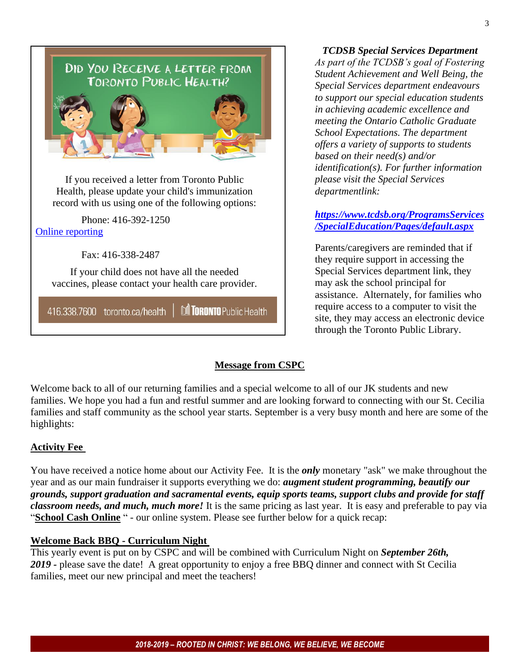

#### *TCDSB Special Services Department*

*As part of the TCDSB's goal of Fostering Student Achievement and Well Being, the Special Services department endeavours to support our special education students in achieving academic excellence and meeting the Ontario Catholic Graduate School Expectations. The department offers a variety of supports to students based on their need(s) and/or identification(s). For further information please visit the Special Services departmentlink:* 

#### *[https://www.tcdsb.org/ProgramsServices](https://www.tcdsb.org/ProgramsServices/SpecialEducation/Pages/default.aspx) [/SpecialEducation/Pages/default.aspx](https://www.tcdsb.org/ProgramsServices/SpecialEducation/Pages/default.aspx)*

Parents/caregivers are reminded that if they require support in accessing the Special Services department link, they may ask the school principal for assistance. Alternately, for families who require access to a computer to visit the site, they may access an electronic device through the Toronto Public Library.

#### **Message from CSPC**

Welcome back to all of our returning families and a special welcome to all of our JK students and new families. We hope you had a fun and restful summer and are looking forward to connecting with our St. Cecilia families and staff community as the school year starts. September is a very busy month and here are some of the highlights:

#### **Activity Fee**

You have received a notice home about our Activity Fee. It is the *only* monetary "ask" we make throughout the year and as our main fundraiser it supports everything we do: *augment student programming, beautify our grounds, support graduation and sacramental events, equip sports teams, support clubs and provide for staff classroom needs, and much, much more!* It is the same pricing as last year. It is easy and preferable to pay via "**School Cash Online** " - our online system. Please see further below for a quick recap:

#### **Welcome Back BBQ - Curriculum Night**

This yearly event is put on by CSPC and will be combined with Curriculum Night on *September 26th, 2019 -* please save the date! A great opportunity to enjoy a free BBQ dinner and connect with St Cecilia families, meet our new principal and meet the teachers!